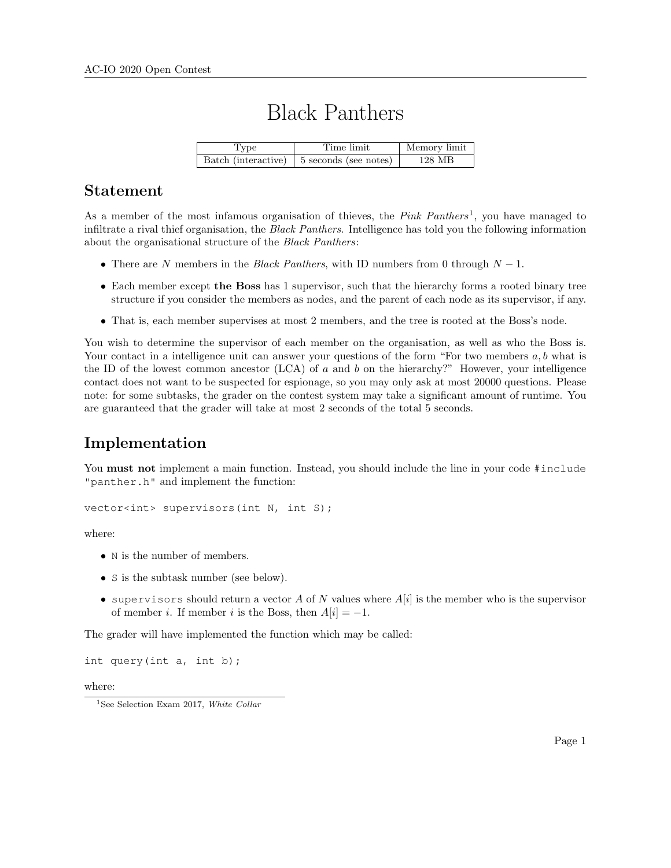# Black Panthers

| Type | Time limit                                  | Memory limit |
|------|---------------------------------------------|--------------|
|      | Batch (interactive)   5 seconds (see notes) | 128 MB       |

#### Statement

As a member of the most infamous organisation of thieves, the  $Pink$   $Panthers<sup>1</sup>$ , you have managed to infiltrate a rival thief organisation, the Black Panthers. Intelligence has told you the following information about the organisational structure of the Black Panthers:

- There are N members in the Black Panthers, with ID numbers from 0 through  $N 1$ .
- Each member except the Boss has 1 supervisor, such that the hierarchy forms a rooted binary tree structure if you consider the members as nodes, and the parent of each node as its supervisor, if any.
- That is, each member supervises at most 2 members, and the tree is rooted at the Boss's node.

You wish to determine the supervisor of each member on the organisation, as well as who the Boss is. Your contact in a intelligence unit can answer your questions of the form "For two members  $a, b$  what is the ID of the lowest common ancestor  $(LCA)$  of a and b on the hierarchy?" However, your intelligence contact does not want to be suspected for espionage, so you may only ask at most 20000 questions. Please note: for some subtasks, the grader on the contest system may take a significant amount of runtime. You are guaranteed that the grader will take at most 2 seconds of the total 5 seconds.

## Implementation

You **must not** implement a main function. Instead, you should include the line in your code #include "panther.h" and implement the function:

vector<int> supervisors(int N, int S);

where:

- N is the number of members.
- S is the subtask number (see below).
- supervisors should return a vector A of N values where  $A[i]$  is the member who is the supervisor of member *i*. If member *i* is the Boss, then  $A[i] = -1$ .

The grader will have implemented the function which may be called:

int query(int a, int b);

where:

<sup>1</sup>See Selection Exam 2017, White Collar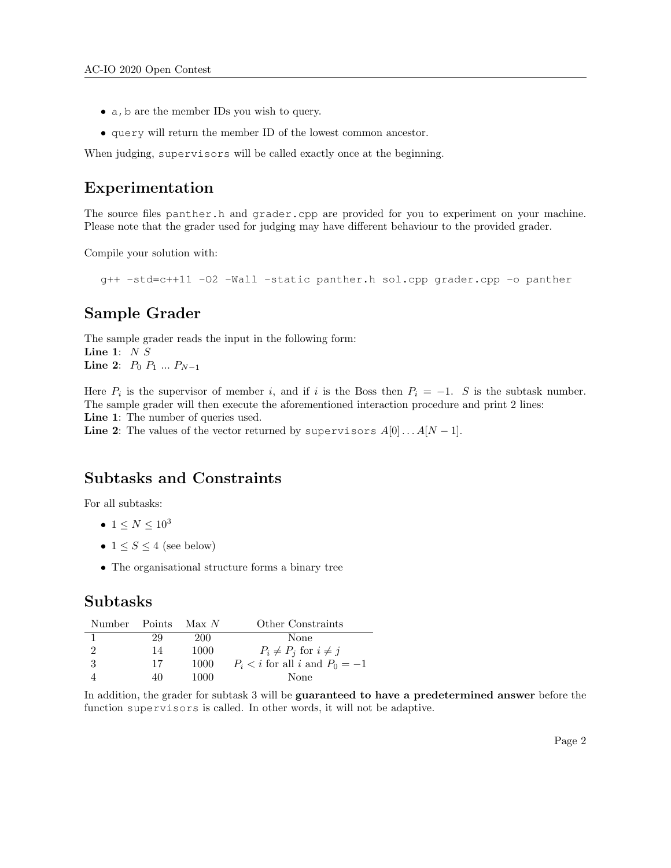- a, b are the member IDs you wish to query.
- query will return the member ID of the lowest common ancestor.

When judging, supervisors will be called exactly once at the beginning.

#### Experimentation

The source files panther.h and grader.cpp are provided for you to experiment on your machine. Please note that the grader used for judging may have different behaviour to the provided grader.

Compile your solution with:

g++ -std=c++11 -O2 -Wall -static panther.h sol.cpp grader.cpp -o panther

### Sample Grader

The sample grader reads the input in the following form: Line 1:  $N S$ **Line 2:**  $P_0$   $P_1$  ...  $P_{N-1}$ 

Here  $P_i$  is the supervisor of member i, and if i is the Boss then  $P_i = -1$ . S is the subtask number. The sample grader will then execute the aforementioned interaction procedure and print 2 lines: Line 1: The number of queries used.

Line 2: The values of the vector returned by supervisors  $A[0] \dots A[N-1]$ .

## Subtasks and Constraints

For all subtasks:

- $1 \leq N \leq 10^3$
- $1 \leq S \leq 4$  (see below)
- The organisational structure forms a binary tree

#### Subtasks

| Number Points |    | Max N | Other Constraints                     |
|---------------|----|-------|---------------------------------------|
|               | 29 | 200   | None                                  |
|               | 14 | 1000  | $P_i \neq P_j$ for $i \neq j$         |
| -3            | 17 | 1000  | $P_i \leq i$ for all i and $P_0 = -1$ |
|               | 40 | 1000  | None                                  |

In addition, the grader for subtask 3 will be guaranteed to have a predetermined answer before the function supervisors is called. In other words, it will not be adaptive.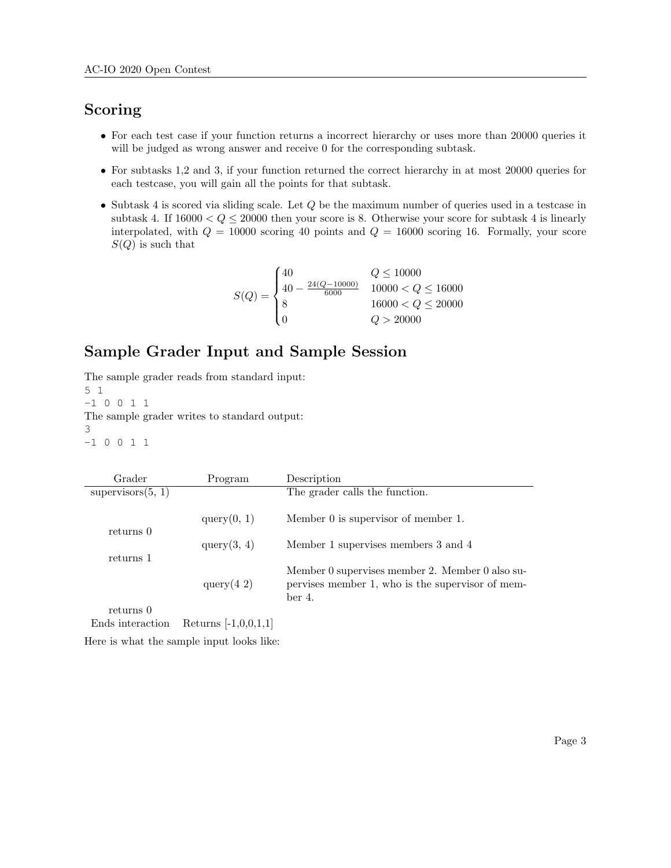# Scoring

- For each test case if your function returns a incorrect hierarchy or uses more than 20000 queries it will be judged as wrong answer and receive 0 for the corresponding subtask.
- For subtasks 1,2 and 3, if your function returned the correct hierarchy in at most 20000 queries for each testcase, you will gain all the points for that subtask.
- Subtask 4 is scored via sliding scale. Let Q be the maximum number of queries used in a testcase in subtask 4. If  $16000 < Q \le 20000$  then your score is 8. Otherwise your score for subtask 4 is linearly interpolated, with  $Q = 10000$  scoring 40 points and  $Q = 16000$  scoring 16. Formally, your score  $S(Q)$  is such that

$$
S(Q) = \begin{cases} 40 & Q \le 10000 \\ 40 - \frac{24(Q - 10000)}{6000} & 10000 < Q \le 16000 \\ 8 & 16000 < Q \le 20000 \\ 0 & Q > 20000 \end{cases}
$$

## Sample Grader Input and Sample Session

The sample grader reads from standard input: 5 1 -1 0 0 1 1 The sample grader writes to standard output: 3 -1 0 0 1 1

| Grader                 | Program        | Description                                                                                                   |
|------------------------|----------------|---------------------------------------------------------------------------------------------------------------|
| supervisors(5, 1)      |                | The grader calls the function.                                                                                |
| returns 0<br>returns 1 | query(0, 1)    | Member 0 is supervisor of member 1.                                                                           |
|                        | query(3, 4)    | Member 1 supervises members 3 and 4                                                                           |
|                        | query $(4\ 2)$ | Member 0 supervises member 2. Member 0 also su-<br>pervises member 1, who is the supervisor of mem-<br>ber 4. |
| returns 0              |                |                                                                                                               |

Ends interaction Returns [-1,0,0,1,1]

Here is what the sample input looks like: